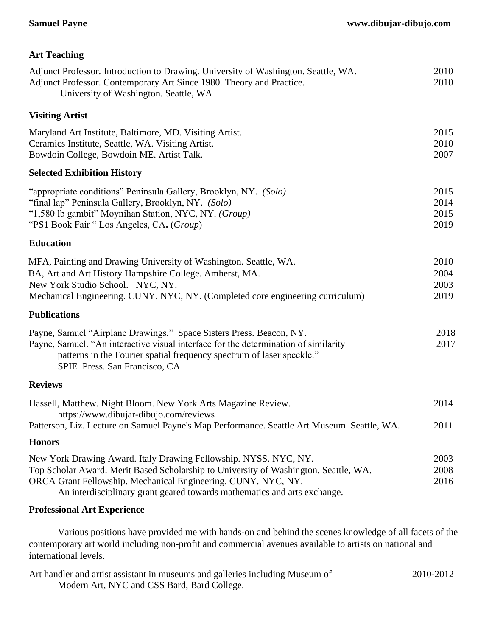## **Samuel Payne www.dibujar-dibujo.com**

| <b>Art Teaching</b>                                                                                                                                                                                                                                                                                   |                              |
|-------------------------------------------------------------------------------------------------------------------------------------------------------------------------------------------------------------------------------------------------------------------------------------------------------|------------------------------|
| Adjunct Professor. Introduction to Drawing. University of Washington. Seattle, WA.<br>Adjunct Professor. Contemporary Art Since 1980. Theory and Practice.<br>University of Washington. Seattle, WA                                                                                                   | 2010<br>2010                 |
| <b>Visiting Artist</b>                                                                                                                                                                                                                                                                                |                              |
| Maryland Art Institute, Baltimore, MD. Visiting Artist.<br>Ceramics Institute, Seattle, WA. Visiting Artist.<br>Bowdoin College, Bowdoin ME. Artist Talk.                                                                                                                                             | 2015<br>2010<br>2007         |
| <b>Selected Exhibition History</b>                                                                                                                                                                                                                                                                    |                              |
| "appropriate conditions" Peninsula Gallery, Brooklyn, NY. (Solo)<br>"final lap" Peninsula Gallery, Brooklyn, NY. (Solo)<br>"1,580 lb gambit" Moynihan Station, NYC, NY. (Group)<br>"PS1 Book Fair "Los Angeles, CA. (Group)                                                                           | 2015<br>2014<br>2015<br>2019 |
| <b>Education</b>                                                                                                                                                                                                                                                                                      |                              |
| MFA, Painting and Drawing University of Washington. Seattle, WA.<br>BA, Art and Art History Hampshire College. Amherst, MA.<br>New York Studio School. NYC, NY.<br>Mechanical Engineering. CUNY. NYC, NY. (Completed core engineering curriculum)                                                     | 2010<br>2004<br>2003<br>2019 |
| <b>Publications</b>                                                                                                                                                                                                                                                                                   |                              |
| Payne, Samuel "Airplane Drawings." Space Sisters Press. Beacon, NY.<br>Payne, Samuel. "An interactive visual interface for the determination of similarity<br>patterns in the Fourier spatial frequency spectrum of laser speckle."<br>SPIE Press. San Francisco, CA                                  | 2018<br>2017                 |
| <b>Reviews</b>                                                                                                                                                                                                                                                                                        |                              |
| Hassell, Matthew. Night Bloom. New York Arts Magazine Review.<br>https://www.dibujar-dibujo.com/reviews<br>Patterson, Liz. Lecture on Samuel Payne's Map Performance. Seattle Art Museum. Seattle, WA.                                                                                                | 2014<br>2011                 |
| <b>Honors</b>                                                                                                                                                                                                                                                                                         |                              |
| New York Drawing Award. Italy Drawing Fellowship. NYSS. NYC, NY.<br>Top Scholar Award. Merit Based Scholarship to University of Washington. Seattle, WA.<br>ORCA Grant Fellowship. Mechanical Engineering. CUNY. NYC, NY.<br>An interdisciplinary grant geared towards mathematics and arts exchange. | 2003<br>2008<br>2016         |
| <b>Professional Art Experience</b>                                                                                                                                                                                                                                                                    |                              |

Various positions have provided me with hands-on and behind the scenes knowledge of all facets of the contemporary art world including non-profit and commercial avenues available to artists on national and international levels.

| Art handler and artist assistant in museums and galleries including Museum of | 2010-2012 |
|-------------------------------------------------------------------------------|-----------|
| Modern Art, NYC and CSS Bard, Bard College.                                   |           |